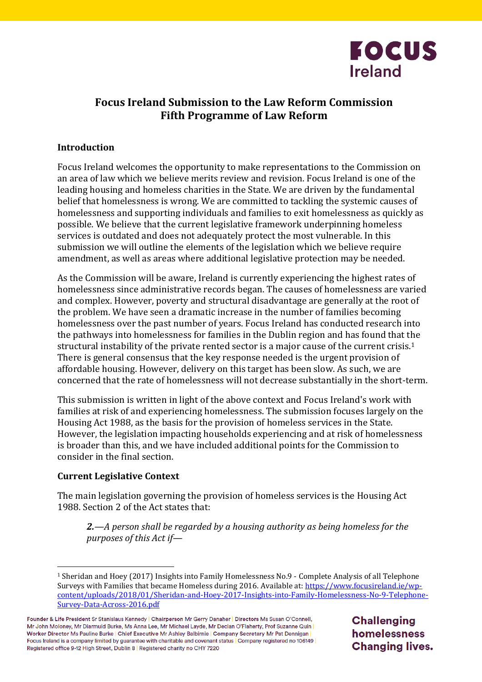

# **Focus Ireland Submission to the Law Reform Commission Fifth Programme of Law Reform**

# **Introduction**

Focus Ireland welcomes the opportunity to make representations to the Commission on an area of law which we believe merits review and revision. Focus Ireland is one of the leading housing and homeless charities in the State. We are driven by the fundamental belief that homelessness is wrong. We are committed to tackling the systemic causes of homelessness and supporting individuals and families to exit homelessness as quickly as possible. We believe that the current legislative framework underpinning homeless services is outdated and does not adequately protect the most vulnerable. In this submission we will outline the elements of the legislation which we believe require amendment, as well as areas where additional legislative protection may be needed.

As the Commission will be aware, Ireland is currently experiencing the highest rates of homelessness since administrative records began. The causes of homelessness are varied and complex. However, poverty and structural disadvantage are generally at the root of the problem. We have seen a dramatic increase in the number of families becoming homelessness over the past number of years. Focus Ireland has conducted research into the pathways into homelessness for families in the Dublin region and has found that the structural instability of the private rented sector is a major cause of the current crisis.<sup>1</sup> There is general consensus that the key response needed is the urgent provision of affordable housing. However, delivery on this target has been slow. As such, we are concerned that the rate of homelessness will not decrease substantially in the short-term.

This submission is written in light of the above context and Focus Ireland's work with families at risk of and experiencing homelessness. The submission focuses largely on the Housing Act 1988, as the basis for the provision of homeless services in the State. However, the legislation impacting households experiencing and at risk of homelessness is broader than this, and we have included additional points for the Commission to consider in the final section.

#### **Current Legislative Context**

 $\overline{a}$ 

The main legislation governing the provision of homeless services is the Housing Act 1988. Section 2 of the Act states that:

*2.—A person shall be regarded by a housing authority as being homeless for the purposes of this Act if—*

**Challenging** homelessness **Changing lives.** 

<sup>1</sup> Sheridan and Hoey (2017) Insights into Family Homelessness No.9 - Complete Analysis of all Telephone Surveys with Families that became Homeless during 2016. Available at: [https://www.focusireland.ie/wp](https://www.focusireland.ie/wp-content/uploads/2018/01/Sheridan-and-Hoey-2017-Insights-into-Family-Homelessness-No-9-Telephone-Survey-Data-Across-2016.pdf)[content/uploads/2018/01/Sheridan-and-Hoey-2017-Insights-into-Family-Homelessness-No-9-Telephone-](https://www.focusireland.ie/wp-content/uploads/2018/01/Sheridan-and-Hoey-2017-Insights-into-Family-Homelessness-No-9-Telephone-Survey-Data-Across-2016.pdf)[Survey-Data-Across-2016.pdf](https://www.focusireland.ie/wp-content/uploads/2018/01/Sheridan-and-Hoey-2017-Insights-into-Family-Homelessness-No-9-Telephone-Survey-Data-Across-2016.pdf)

Founder & Life President Sr Stanislaus Kennedy | Chairperson Mr Gerry Danaher | Directors Ms Susan O'Connell, Mr John Moloney, Mr Diarmuid Burke, Ms Anna Lee, Mr Michael Layde, Mr Declan O'Flaherty, Prof Suzanne Quin Worker Director Ms Pauline Burke | Chief Executive Mr Ashley Balbirnie | Company Secretary Mr Pat Dennigan | Focus Ireland is a company limited by guarantee with charitable and covenant status | Company registered no 106149 | Registered office 9-12 High Street, Dublin 8 | Registered charity no CHY 7220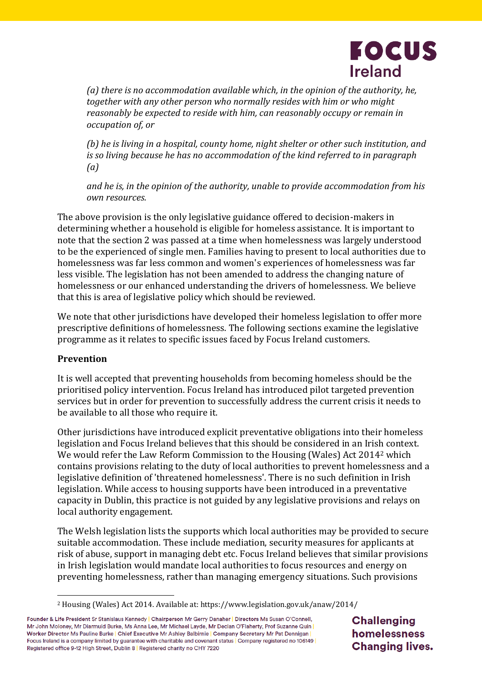

*(a) there is no accommodation available which, in the opinion of the authority, he, together with any other person who normally resides with him or who might reasonably be expected to reside with him, can reasonably occupy or remain in occupation of, or*

*(b) he is living in a hospital, county home, night shelter or other such institution, and is so living because he has no accommodation of the kind referred to in paragraph (a)*

*and he is, in the opinion of the authority, unable to provide accommodation from his own resources.*

The above provision is the only legislative guidance offered to decision-makers in determining whether a household is eligible for homeless assistance. It is important to note that the section 2 was passed at a time when homelessness was largely understood to be the experienced of single men. Families having to present to local authorities due to homelessness was far less common and women's experiences of homelessness was far less visible. The legislation has not been amended to address the changing nature of homelessness or our enhanced understanding the drivers of homelessness. We believe that this is area of legislative policy which should be reviewed.

We note that other jurisdictions have developed their homeless legislation to offer more prescriptive definitions of homelessness. The following sections examine the legislative programme as it relates to specific issues faced by Focus Ireland customers.

# **Prevention**

 $\overline{a}$ 

It is well accepted that preventing households from becoming homeless should be the prioritised policy intervention. Focus Ireland has introduced pilot targeted prevention services but in order for prevention to successfully address the current crisis it needs to be available to all those who require it.

Other jurisdictions have introduced explicit preventative obligations into their homeless legislation and Focus Ireland believes that this should be considered in an Irish context. We would refer the Law Reform Commission to the Housing (Wales) Act 2014<sup>2</sup> which contains provisions relating to the duty of local authorities to prevent homelessness and a legislative definition of 'threatened homelessness'. There is no such definition in Irish legislation. While access to housing supports have been introduced in a preventative capacity in Dublin, this practice is not guided by any legislative provisions and relays on local authority engagement.

The Welsh legislation lists the supports which local authorities may be provided to secure suitable accommodation. These include mediation, security measures for applicants at risk of abuse, support in managing debt etc. Focus Ireland believes that similar provisions in Irish legislation would mandate local authorities to focus resources and energy on preventing homelessness, rather than managing emergency situations. Such provisions

**Challenging** homelessness **Changing lives.** 

<sup>2</sup> Housing (Wales) Act 2014. Available at: https://www.legislation.gov.uk/anaw/2014/

Founder & Life President Sr Stanislaus Kennedy | Chairperson Mr Gerry Danaher | Directors Ms Susan O'Connell, Mr John Moloney, Mr Diarmuid Burke, Ms Anna Lee, Mr Michael Layde, Mr Declan O'Flaherty, Prof Suzanne Quin Worker Director Ms Pauline Burke | Chief Executive Mr Ashley Balbirnie | Company Secretary Mr Pat Dennigan | Focus Ireland is a company limited by guarantee with charitable and covenant status | Company registered no 106149 Registered office 9-12 High Street, Dublin 8 | Registered charity no CHY 7220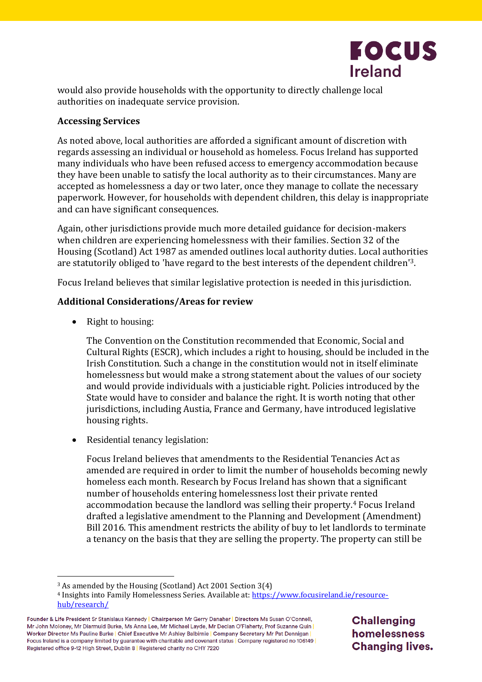

would also provide households with the opportunity to directly challenge local authorities on inadequate service provision.

#### **Accessing Services**

As noted above, local authorities are afforded a significant amount of discretion with regards assessing an individual or household as homeless. Focus Ireland has supported many individuals who have been refused access to emergency accommodation because they have been unable to satisfy the local authority as to their circumstances. Many are accepted as homelessness a day or two later, once they manage to collate the necessary paperwork. However, for households with dependent children, this delay is inappropriate and can have significant consequences.

Again, other jurisdictions provide much more detailed guidance for decision-makers when children are experiencing homelessness with their families. Section 32 of the Housing (Scotland) Act 1987 as amended outlines local authority duties. Local authorities are statutorily obliged to 'have regard to the best interests of the dependent children'3.

Focus Ireland believes that similar legislative protection is needed in this jurisdiction.

# **Additional Considerations/Areas for review**

• Right to housing:

 $\overline{a}$ 

The Convention on the Constitution recommended that Economic, Social and Cultural Rights (ESCR), which includes a right to housing, should be included in the Irish Constitution. Such a change in the constitution would not in itself eliminate homelessness but would make a strong statement about the values of our society and would provide individuals with a justiciable right. Policies introduced by the State would have to consider and balance the right. It is worth noting that other jurisdictions, including Austia, France and Germany, have introduced legislative housing rights.

• Residential tenancy legislation:

Focus Ireland believes that amendments to the Residential Tenancies Act as amended are required in order to limit the number of households becoming newly homeless each month. Research by Focus Ireland has shown that a significant number of households entering homelessness lost their private rented accommodation because the landlord was selling their property.<sup>4</sup> Focus Ireland drafted a legislative amendment to the Planning and Development (Amendment) Bill 2016. This amendment restricts the ability of buy to let landlords to terminate a tenancy on the basis that they are selling the property. The property can still be

**Challenging** homelessness **Changing lives.** 

<sup>3</sup> As amended by the Housing (Scotland) Act 2001 Section 3(4)

<sup>4</sup> Insights into Family Homelessness Series. Available at: [https://www.focusireland.ie/resource](https://www.focusireland.ie/resource-hub/research/)[hub/research/](https://www.focusireland.ie/resource-hub/research/)

Founder & Life President Sr Stanislaus Kennedy | Chairperson Mr Gerry Danaher | Directors Ms Susan O'Connell, Mr John Moloney, Mr Diarmuid Burke, Ms Anna Lee, Mr Michael Layde, Mr Declan O'Flaherty, Prof Suzanne Quin Worker Director Ms Pauline Burke | Chief Executive Mr Ashley Balbirnie | Company Secretary Mr Pat Dennigan | Focus Ireland is a company limited by guarantee with charitable and covenant status | Company registered no 106149 | Registered office 9-12 High Street, Dublin 8 | Registered charity no CHY 7220